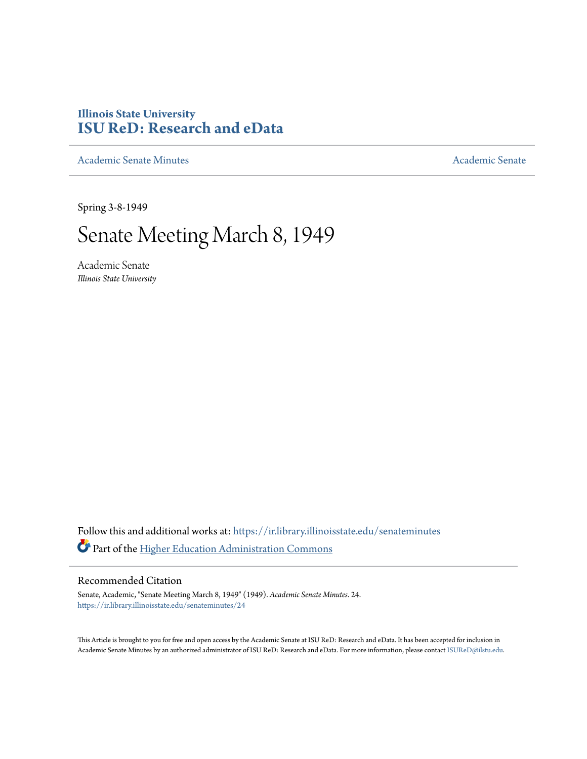## **Illinois State University [ISU ReD: Research and eData](https://ir.library.illinoisstate.edu?utm_source=ir.library.illinoisstate.edu%2Fsenateminutes%2F24&utm_medium=PDF&utm_campaign=PDFCoverPages)**

[Academic Senate Minutes](https://ir.library.illinoisstate.edu/senateminutes?utm_source=ir.library.illinoisstate.edu%2Fsenateminutes%2F24&utm_medium=PDF&utm_campaign=PDFCoverPages) [Academic Senate](https://ir.library.illinoisstate.edu/senate?utm_source=ir.library.illinoisstate.edu%2Fsenateminutes%2F24&utm_medium=PDF&utm_campaign=PDFCoverPages) Academic Senate

Spring 3-8-1949

## Senate Meeting March 8, 1949

Academic Senate *Illinois State University*

Follow this and additional works at: [https://ir.library.illinoisstate.edu/senateminutes](https://ir.library.illinoisstate.edu/senateminutes?utm_source=ir.library.illinoisstate.edu%2Fsenateminutes%2F24&utm_medium=PDF&utm_campaign=PDFCoverPages) Part of the [Higher Education Administration Commons](http://network.bepress.com/hgg/discipline/791?utm_source=ir.library.illinoisstate.edu%2Fsenateminutes%2F24&utm_medium=PDF&utm_campaign=PDFCoverPages)

## Recommended Citation

Senate, Academic, "Senate Meeting March 8, 1949" (1949). *Academic Senate Minutes*. 24. [https://ir.library.illinoisstate.edu/senateminutes/24](https://ir.library.illinoisstate.edu/senateminutes/24?utm_source=ir.library.illinoisstate.edu%2Fsenateminutes%2F24&utm_medium=PDF&utm_campaign=PDFCoverPages)

This Article is brought to you for free and open access by the Academic Senate at ISU ReD: Research and eData. It has been accepted for inclusion in Academic Senate Minutes by an authorized administrator of ISU ReD: Research and eData. For more information, please contact [ISUReD@ilstu.edu.](mailto:ISUReD@ilstu.edu)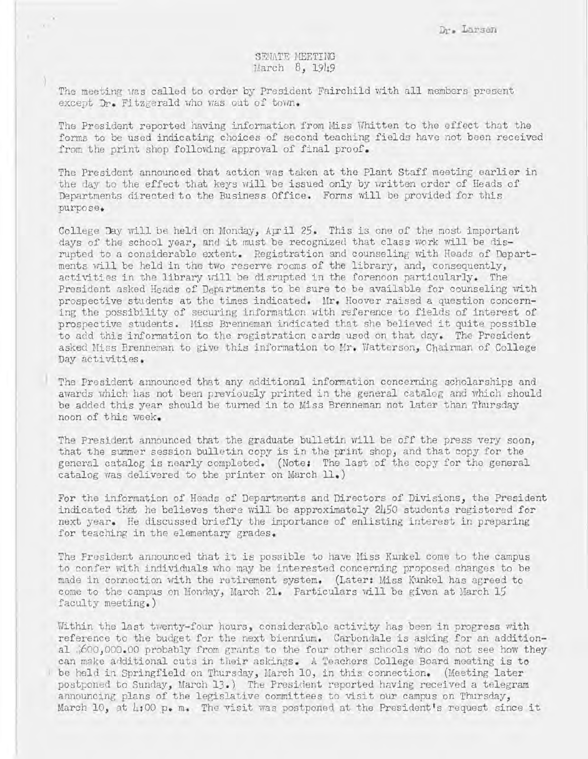## SENATE MEETING March 8, 1949

The meeting was called to order by President Fairchild with all members present except Dr. Fitzgerald who was out of town.

The President reported having information from Miss Whitten to the effect that the forms to be used indicating choices of second teaching fields have not been received from the print shop following approval of final proof.

The President announced that action was taken at the Plant Staff meeting earlier in the day to the effect that keys will be issued only by written order of Heads of Departments directed to the Business Office. Forms will be provided for this purpose.

College Day will be held on Monday, April 25. This is one of the most important days of the school year, and it must be recognized that class work will be disrupted to a considerable extent. Registration and counseling with Heads of Departments will be held in the two reserve rooms of the library, and, consequently, activities in the library will be disrupted in the forenoon particularly. The President asked Heads of Departments to be sure to be available for counseling with prospective students at the times indicated. Mr. Hoover raised a question concerning the possibility of securing information with reference to fields of interest of prospective students. Hiss Brenneman indicated that she believed it quite possible to add this information to the registration cards used on that day. The President asked Miss Brenneman to give this information to Mr. Watterson, Chairman of College Day activities.

The President announced that any additional information concerning scholarships and awards which has not been previously printed in the general catalog and which should be added this year should be turned in to Miss Brenneman not later than Thursday noon of this week.

The President announced that the graduate bulletin will be off the press very soon, that the summer session bulletin copy is in the print shop, and that copy for the general catalog is nearly completed. (Note: The last of the copy for the general catalog vias delivered to the printer on March **11 . )** 

For the information of Heads of Departments and Directors of Divisions, the President indicated that he believes there will be approximately  $2h50$  students registered for next year. He discussed briefly the importance of enlisting interest in preparing for teaching in the elementary grades.

The President announced that it is possible to have Miss Kunkel come to the campus to confer with individuals who may be interested concerning proposed changes to be made in connection with the retirement system. (Later: Miss Kunkel has agreed to come to the campus on Monday, March 21. Particulars will be given at March 15 faculty meeting.)

Within the last twenty-four hours, considerable activity has been in progress with reference to the budget for the next biennium. Carbondale is asking for an additional (600,000.00 probably from grants to the four other schools who do not see how they can make additional cuts in their askings . A Teachers College Board meeting is to be held in Springfield on Thursday, March 10, in this connection. (Meeting later postponed to Sunday, March 13.) The President reported having received a telegram announcing plans of the legislative committees to visit our campus on Thursday, March 10, at  $\mu$ :00  $p_{\bullet}$  m. The visit was postponed at the President's request since it